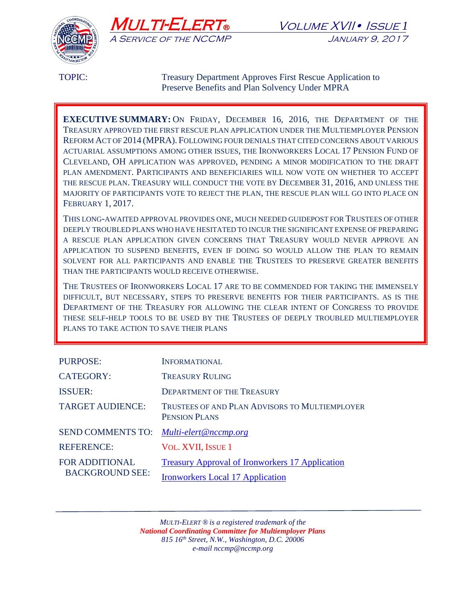





TOPIC: Treasury Department Approves First Rescue Application to Preserve Benefits and Plan Solvency Under MPRA

**EXECUTIVE SUMMARY:** ON FRIDAY, DECEMBER 16, 2016, THE DEPARTMENT OF THE TREASURY APPROVED THE FIRST RESCUE PLAN APPLICATION UNDER THE MULTIEMPLOYER PENSION REFORM ACT OF 2014 (MPRA). FOLLOWING FOUR DENIALS THAT CITED CONCERNS ABOUT VARIOUS ACTUARIAL ASSUMPTIONS AMONG OTHER ISSUES, THE IRONWORKERS LOCAL 17 PENSION FUND OF CLEVELAND, OH APPLICATION WAS APPROVED, PENDING A MINOR MODIFICATION TO THE DRAFT PLAN AMENDMENT. PARTICIPANTS AND BENEFICIARIES WILL NOW VOTE ON WHETHER TO ACCEPT THE RESCUE PLAN. TREASURY WILL CONDUCT THE VOTE BY DECEMBER 31, 2016, AND UNLESS THE MAJORITY OF PARTICIPANTS VOTE TO REJECT THE PLAN, THE RESCUE PLAN WILL GO INTO PLACE ON FEBRUARY 1, 2017.

THIS LONG-AWAITED APPROVAL PROVIDES ONE, MUCH NEEDED GUIDEPOST FOR TRUSTEES OF OTHER DEEPLY TROUBLED PLANS WHO HAVE HESITATED TO INCUR THE SIGNIFICANT EXPENSE OF PREPARING A RESCUE PLAN APPLICATION GIVEN CONCERNS THAT TREASURY WOULD NEVER APPROVE AN APPLICATION TO SUSPEND BENEFITS, EVEN IF DOING SO WOULD ALLOW THE PLAN TO REMAIN SOLVENT FOR ALL PARTICIPANTS AND ENABLE THE TRUSTEES TO PRESERVE GREATER BENEFITS THAN THE PARTICIPANTS WOULD RECEIVE OTHERWISE.

THE TRUSTEES OF IRONWORKERS LOCAL 17 ARE TO BE COMMENDED FOR TAKING THE IMMENSELY DIFFICULT, BUT NECESSARY, STEPS TO PRESERVE BENEFITS FOR THEIR PARTICIPANTS. AS IS THE DEPARTMENT OF THE TREASURY FOR ALLOWING THE CLEAR INTENT OF CONGRESS TO PROVIDE THESE SELF-HELP TOOLS TO BE USED BY THE TRUSTEES OF DEEPLY TROUBLED MULTIEMPLOYER PLANS TO TAKE ACTION TO SAVE THEIR PLANS

| <b>PURPOSE:</b>                                 | <b>INFORMATIONAL</b>                                                   |
|-------------------------------------------------|------------------------------------------------------------------------|
| <b>CATEGORY:</b>                                | <b>TREASURY RULING</b>                                                 |
| <b>ISSUER:</b>                                  | <b>DEPARTMENT OF THE TREASURY</b>                                      |
| <b>TARGET AUDIENCE:</b>                         | TRUSTEES OF AND PLAN ADVISORS TO MULTIEMPLOYER<br><b>PENSION PLANS</b> |
| <b>SEND COMMENTS TO:</b>                        | Multi-elert@nccmp.org                                                  |
| <b>REFERENCE:</b>                               | <b>VOL. XVII, ISSUE 1</b>                                              |
| <b>FOR ADDITIONAL</b><br><b>BACKGROUND SEE:</b> | <b>Treasury Approval of Ironworkers 17 Application</b>                 |
|                                                 | <b>Ironworkers Local 17 Application</b>                                |

*MULTI-ELERT ® is a registered trademark of the National Coordinating Committee for Multiemployer Plans 815 16th Street, N.W., Washington, D.C. 20006 e-mail nccmp@nccmp.org*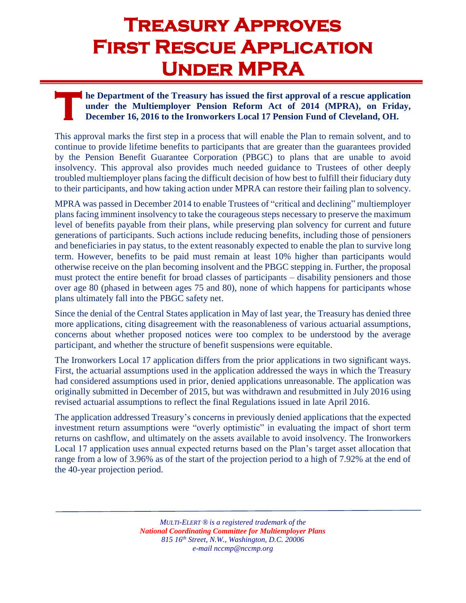## **Treasury Approves First Rescue Application Under MPRA**

## **he Department of the Treasury has issued the first approval of a rescue application under the Multiemployer Pension Reform Act of 2014 (MPRA), on Friday, December 16, 2016 to the Ironworkers Local 17 Pension Fund of Cleveland, OH. T h u u u p u**

This approval marks the first step in a process that will enable the Plan to remain solvent, and to continue to provide lifetime benefits to participants that are greater than the guarantees provided by the Pension Benefit Guarantee Corporation (PBGC) to plans that are unable to avoid insolvency. This approval also provides much needed guidance to Trustees of other deeply troubled multiemployer plans facing the difficult decision of how best to fulfill their fiduciary duty to their participants, and how taking action under MPRA can restore their failing plan to solvency.

MPRA was passed in December 2014 to enable Trustees of "critical and declining" multiemployer plans facing imminent insolvency to take the courageous steps necessary to preserve the maximum level of benefits payable from their plans, while preserving plan solvency for current and future generations of participants. Such actions include reducing benefits, including those of pensioners and beneficiaries in pay status, to the extent reasonably expected to enable the plan to survive long term. However, benefits to be paid must remain at least 10% higher than participants would otherwise receive on the plan becoming insolvent and the PBGC stepping in. Further, the proposal must protect the entire benefit for broad classes of participants – disability pensioners and those over age 80 (phased in between ages 75 and 80), none of which happens for participants whose plans ultimately fall into the PBGC safety net.

Since the denial of the Central States application in May of last year, the Treasury has denied three more applications, citing disagreement with the reasonableness of various actuarial assumptions, concerns about whether proposed notices were too complex to be understood by the average participant, and whether the structure of benefit suspensions were equitable.

The Ironworkers Local 17 application differs from the prior applications in two significant ways. First, the actuarial assumptions used in the application addressed the ways in which the Treasury had considered assumptions used in prior, denied applications unreasonable. The application was originally submitted in December of 2015, but was withdrawn and resubmitted in July 2016 using revised actuarial assumptions to reflect the final Regulations issued in late April 2016.

The application addressed Treasury's concerns in previously denied applications that the expected investment return assumptions were "overly optimistic" in evaluating the impact of short term returns on cashflow, and ultimately on the assets available to avoid insolvency. The Ironworkers Local 17 application uses annual expected returns based on the Plan's target asset allocation that range from a low of 3.96% as of the start of the projection period to a high of 7.92% at the end of the 40-year projection period.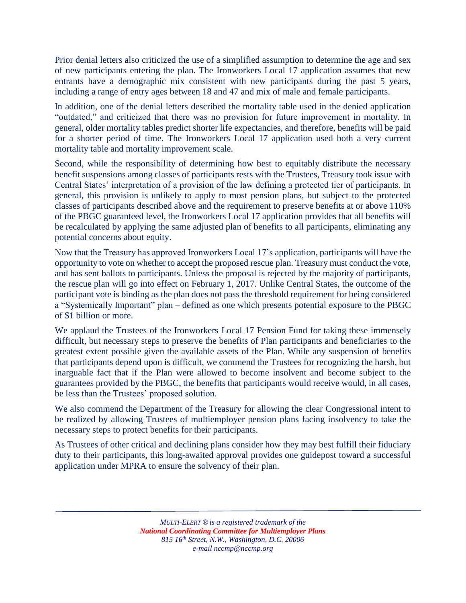Prior denial letters also criticized the use of a simplified assumption to determine the age and sex of new participants entering the plan. The Ironworkers Local 17 application assumes that new entrants have a demographic mix consistent with new participants during the past 5 years, including a range of entry ages between 18 and 47 and mix of male and female participants.

In addition, one of the denial letters described the mortality table used in the denied application "outdated," and criticized that there was no provision for future improvement in mortality. In general, older mortality tables predict shorter life expectancies, and therefore, benefits will be paid for a shorter period of time. The Ironworkers Local 17 application used both a very current mortality table and mortality improvement scale.

Second, while the responsibility of determining how best to equitably distribute the necessary benefit suspensions among classes of participants rests with the Trustees, Treasury took issue with Central States' interpretation of a provision of the law defining a protected tier of participants. In general, this provision is unlikely to apply to most pension plans, but subject to the protected classes of participants described above and the requirement to preserve benefits at or above 110% of the PBGC guaranteed level, the Ironworkers Local 17 application provides that all benefits will be recalculated by applying the same adjusted plan of benefits to all participants, eliminating any potential concerns about equity.

Now that the Treasury has approved Ironworkers Local 17's application, participants will have the opportunity to vote on whether to accept the proposed rescue plan. Treasury must conduct the vote, and has sent ballots to participants. Unless the proposal is rejected by the majority of participants, the rescue plan will go into effect on February 1, 2017. Unlike Central States, the outcome of the participant vote is binding as the plan does not pass the threshold requirement for being considered a "Systemically Important" plan – defined as one which presents potential exposure to the PBGC of \$1 billion or more.

We applaud the Trustees of the Ironworkers Local 17 Pension Fund for taking these immensely difficult, but necessary steps to preserve the benefits of Plan participants and beneficiaries to the greatest extent possible given the available assets of the Plan. While any suspension of benefits that participants depend upon is difficult, we commend the Trustees for recognizing the harsh, but inarguable fact that if the Plan were allowed to become insolvent and become subject to the guarantees provided by the PBGC, the benefits that participants would receive would, in all cases, be less than the Trustees' proposed solution.

We also commend the Department of the Treasury for allowing the clear Congressional intent to be realized by allowing Trustees of multiemployer pension plans facing insolvency to take the necessary steps to protect benefits for their participants.

As Trustees of other critical and declining plans consider how they may best fulfill their fiduciary duty to their participants, this long-awaited approval provides one guidepost toward a successful application under MPRA to ensure the solvency of their plan.